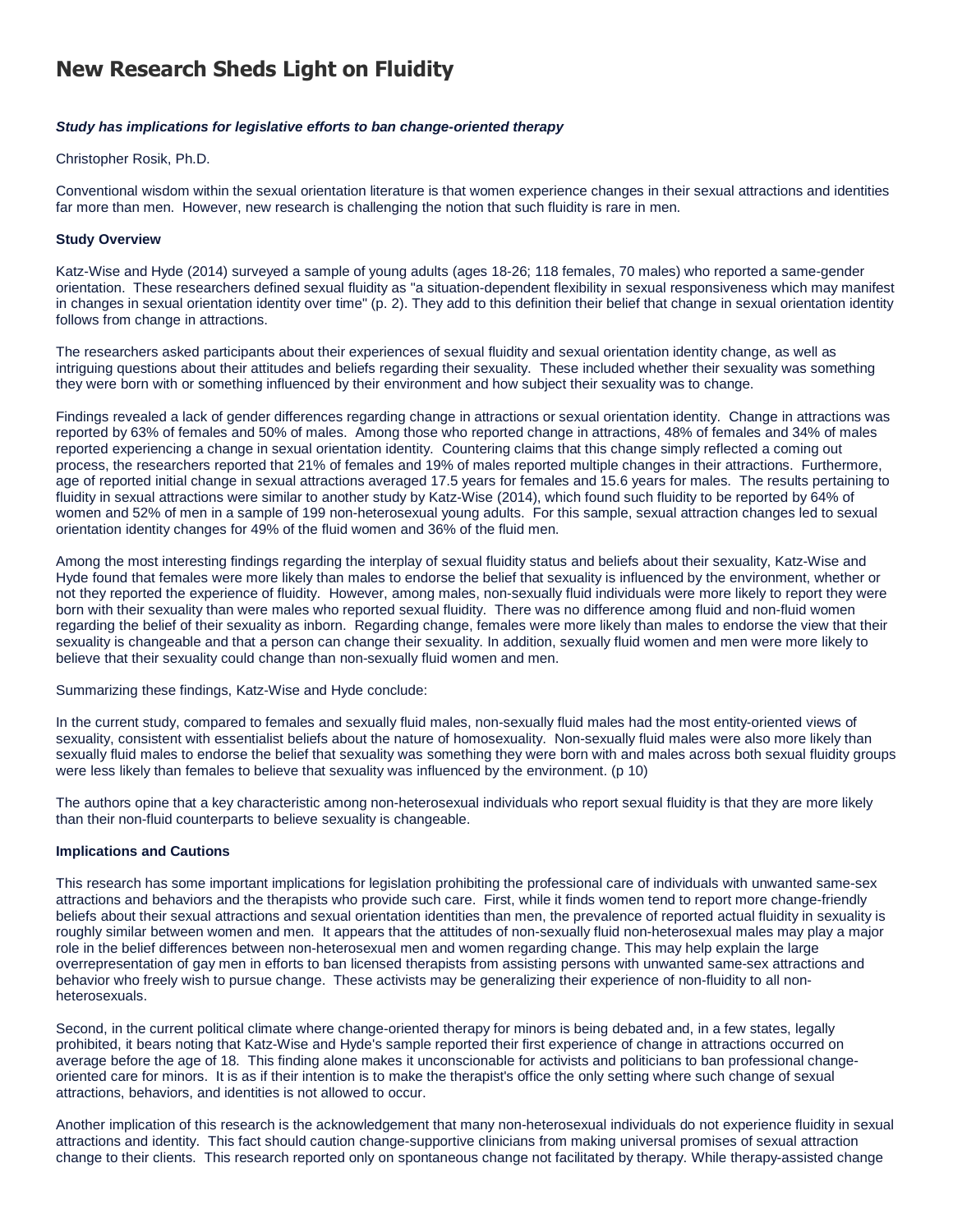# **New Research Sheds Light on Fluidity**

## *Study has implications for legislative efforts to ban change-oriented therapy*

### Christopher Rosik, Ph.D.

Conventional wisdom within the sexual orientation literature is that women experience changes in their sexual attractions and identities far more than men. However, new research is challenging the notion that such fluidity is rare in men.

## **Study Overview**

Katz-Wise and Hyde (2014) surveyed a sample of young adults (ages 18-26; 118 females, 70 males) who reported a same-gender orientation. These researchers defined sexual fluidity as "a situation-dependent flexibility in sexual responsiveness which may manifest in changes in sexual orientation identity over time" (p. 2). They add to this definition their belief that change in sexual orientation identity follows from change in attractions.

The researchers asked participants about their experiences of sexual fluidity and sexual orientation identity change, as well as intriguing questions about their attitudes and beliefs regarding their sexuality. These included whether their sexuality was something they were born with or something influenced by their environment and how subject their sexuality was to change.

Findings revealed a lack of gender differences regarding change in attractions or sexual orientation identity. Change in attractions was reported by 63% of females and 50% of males. Among those who reported change in attractions, 48% of females and 34% of males reported experiencing a change in sexual orientation identity. Countering claims that this change simply reflected a coming out process, the researchers reported that 21% of females and 19% of males reported multiple changes in their attractions. Furthermore, age of reported initial change in sexual attractions averaged 17.5 years for females and 15.6 years for males. The results pertaining to fluidity in sexual attractions were similar to another study by Katz-Wise (2014), which found such fluidity to be reported by 64% of women and 52% of men in a sample of 199 non-heterosexual young adults. For this sample, sexual attraction changes led to sexual orientation identity changes for 49% of the fluid women and 36% of the fluid men.

Among the most interesting findings regarding the interplay of sexual fluidity status and beliefs about their sexuality, Katz-Wise and Hyde found that females were more likely than males to endorse the belief that sexuality is influenced by the environment, whether or not they reported the experience of fluidity. However, among males, non-sexually fluid individuals were more likely to report they were born with their sexuality than were males who reported sexual fluidity. There was no difference among fluid and non-fluid women regarding the belief of their sexuality as inborn. Regarding change, females were more likely than males to endorse the view that their sexuality is changeable and that a person can change their sexuality. In addition, sexually fluid women and men were more likely to believe that their sexuality could change than non-sexually fluid women and men.

Summarizing these findings, Katz-Wise and Hyde conclude:

In the current study, compared to females and sexually fluid males, non-sexually fluid males had the most entity-oriented views of sexuality, consistent with essentialist beliefs about the nature of homosexuality. Non-sexually fluid males were also more likely than sexually fluid males to endorse the belief that sexuality was something they were born with and males across both sexual fluidity groups were less likely than females to believe that sexuality was influenced by the environment. (p 10)

The authors opine that a key characteristic among non-heterosexual individuals who report sexual fluidity is that they are more likely than their non-fluid counterparts to believe sexuality is changeable.

# **Implications and Cautions**

This research has some important implications for legislation prohibiting the professional care of individuals with unwanted same-sex attractions and behaviors and the therapists who provide such care. First, while it finds women tend to report more change-friendly beliefs about their sexual attractions and sexual orientation identities than men, the prevalence of reported actual fluidity in sexuality is roughly similar between women and men. It appears that the attitudes of non-sexually fluid non-heterosexual males may play a major role in the belief differences between non-heterosexual men and women regarding change. This may help explain the large overrepresentation of gay men in efforts to ban licensed therapists from assisting persons with unwanted same-sex attractions and behavior who freely wish to pursue change. These activists may be generalizing their experience of non-fluidity to all nonheterosexuals.

Second, in the current political climate where change-oriented therapy for minors is being debated and, in a few states, legally prohibited, it bears noting that Katz-Wise and Hyde's sample reported their first experience of change in attractions occurred on average before the age of 18. This finding alone makes it unconscionable for activists and politicians to ban professional changeoriented care for minors. It is as if their intention is to make the therapist's office the only setting where such change of sexual attractions, behaviors, and identities is not allowed to occur.

Another implication of this research is the acknowledgement that many non-heterosexual individuals do not experience fluidity in sexual attractions and identity. This fact should caution change-supportive clinicians from making universal promises of sexual attraction change to their clients. This research reported only on spontaneous change not facilitated by therapy. While therapy-assisted change